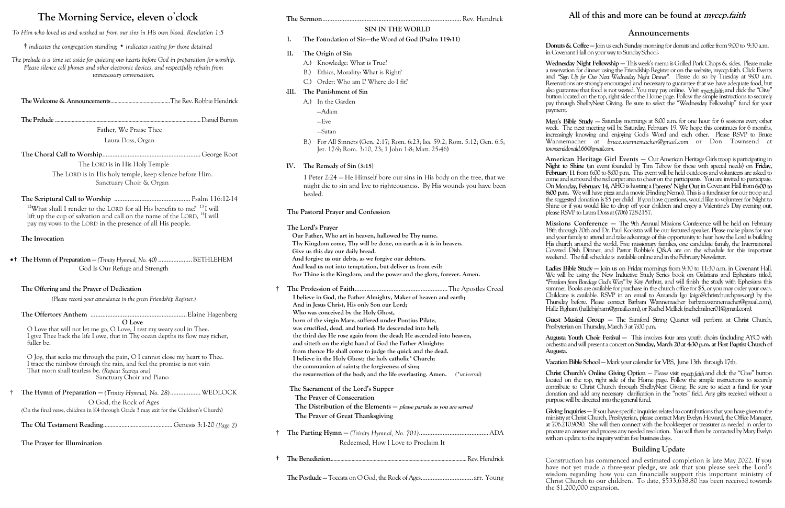# **The Morning Service, eleven o**'**clock**

*To Him who loved us and washed us from our sins in His own blood. Revelation 1:5*

† *indicates the congregation standing;* • *indicates seating for those detained*

*The prelude is a time set aside for quieting our hearts before God in preparation for worship. Please silence cell phones and other electronic devices, and respectfully refrain from unnecessary conversation.*

**The Welcome & Announcements**...........................................The Rev. Robbie Hendrick

**The Prelude** .........................................................................................................Daniel Burton

Father, We Praise Thee Laura Doss, Organ

**The Choral Call to Worship**.......................................................... George Root The LORD is in His Holy Temple

> The LORD is in His holy temple, keep silence before Him. Sanctuary Choir & Organ

**The Scriptural Call to Worship** ............................................. Psalm 116:12-14 <sup>12</sup>What shall I render to the LORD for all His benefits to me?  $13$  I will lift up the cup of salvation and call on the name of the LORD, <sup>14</sup>I will pay my vows to the LORD in the presence of all His people.

#### **The Invocation**

•† **The Hymn of Preparation** — *(Trinity Hymnal, No. 40*) ....................BETHLEHEM God Is Our Refuge and Strength

#### **The Offering and the Prayer of Dedication**

*(Please record your attendance in the green Friendship Register.)*

**The Offertory Anthem** .........................................................Elaine Hagenberg

**O Love**

O Love that will not let me go, O Love, I rest my weary soul in Thee. I give Thee back the life I owe, that in Thy ocean depths its flow may richer, fuller be.

O Joy, that seeks me through the pain, O I cannot close my heart to Thee. I trace the rainbow through the rain, and feel the promise is not vain That morn shall tearless be. *(Repeat Stanza one)* Sanctuary Choir and Piano

| <sup>†</sup> The Hymn of Preparation – (Trinity Hymnal, No. 28) WEDLOCK                 |  |  |  |  |
|-----------------------------------------------------------------------------------------|--|--|--|--|
| O God, the Rock of Ages                                                                 |  |  |  |  |
| (On the final verse, children in K4 through Grade 3 may exit for the Children's Church) |  |  |  |  |

**The Old Testament Reading**............................................. Genesis 3:1-20 *(Page 2)*

**The Prayer for Illumination**

#### **The Sermon**..................................................................................Rev. Hendrick

# **SIN IN THE WORLD**

### **I. The Foundation of Sin—the Word of God (Psalm 119:11)**

#### **II. The Origin of Sin**

- A.) Knowledge: What is True?
- B.) Ethics, Morality: What is Right?
- C.) Order: Who am I? Where do I fit?

## **III. The Punishment of Sin**

- A.) In the Garden —Adam
	- —Eve
	-

—Satan

B.) For All Sinners (Gen. 2:17; Rom. 6:23; Isa. 59:2; Rom. 5:12; Gen. 6:5; Jer. 17:9; Rom. 3:10, 23; 1 John 1:8; Matt. 25:46)

#### **IV. The Remedy of Sin (3:15)**

1 Peter 2:24 — He Himself bore our sins in His body on the tree, that we might die to sin and live to righteousness. By His wounds you have been healed.

#### **The Pastoral Prayer and Confession**

#### **The Lord's Prayer**

**Our Father, Who art in heaven, hallowed be Thy name. Thy Kingdom come, Thy will be done, on earth as it is in heaven. Give us this day our daily bread. And forgive us our debts, as we forgive our debtors. And lead us not into temptation, but deliver us from evil: For Thine is the Kingdom, and the power and the glory, forever. Amen.**

Ladies Bible Study – Join us on Friday mornings from 9:30 to 11:30 a.m. in Covenant Hall. We will be using the New Inductive Study Series book on Galatians and Ephesians titled, *"Freedom from Bondage God's Way"* by Kay Arthur, and will finish the study with Ephesians this summer. Books are available for purchase in the church office for \$5, or you may order your own. Childcare is available. RSVP in an email to Amanda Igo (aigo@christchurchpres.org) by the Thursday before. Please contact Barbara Wannemacher barbara.wannemacher@gmail.com), Halle Bigham (hallebigham@gmail.com), or Rachel Mellick (rachelmilner01@gmail.com).

- † **The Profession of Faith**.......................................................The Apostles Creed **I believe in God, the Father Almighty, Maker of heaven and earth; And in Jesus Christ, His only Son our Lord; Who was conceived by the Holy Ghost, born of the virgin Mary, suffered under Pontius Pilate, was crucified, dead, and buried; He descended into hell; the third day He rose again from the dead; He ascended into heaven, and sitteth on the right hand of God the Father Almighty; from thence He shall come to judge the quick and the dead. I believe in the Holy Ghost; the holy catholic\* Church; the communion of saints; the forgiveness of sins; the resurrection of the body and the life everlasting. Amen.** *(\*universal)* **The Sacrament of the Lord's Supper The Prayer of Consecration The Distribution of the Elements — please partake as you are served The Prayer of Great Thanksgiving**
- † **The Parting Hymn —** *(Trinity Hymnal, No. 701)*......................................... ADA Redeemed, How I Love to Proclaim It
- † **The Benediction**..................................................................................................Rev. Hendrick

Guest Musical Group – The Samford String Quartet will perform at Christ Church, Presbyterian on Thursday, March 3 at 7:00 p.m.

**Giving Inquiries —** If you have specific inquiries related to contributions that you have given to the ministry at Christ Church, Presbyterian, please contact Mary Evelyn Howard, the Office Manager, at 706.210.9090. She will then connect with the bookkeeper or treasurer as needed in order to procure an answer and process any needed resolution. You will then be contacted by Mary Evelyn with an update to the inquiry within five business days.

**The Postlude** — Toccata on O God, the Rock of Ages...............................arr. Young

## **All of this and more can be found at myccp.faith**

#### **Announcements**

**Donuts & Coffee —**Join us each Sunday morning for donuts and coffee from 9:00 to 9:30 a.m. in Covenant Hall on your way to Sunday School.

**Wednesday Night Fellowship —** This week's menu is Grilled Pork Chops & sides. Please make a reservation for dinner using the Friendship Register or on the website, myccp.faith. Click Events and *"Sign Up for Our Next Wednesday Night Dinner".* Please do so by Tuesday at 9:00 a.m. Reservations are strongly encouraged and necessary to guarantee that we have adequate food, but also guarantee that food is not wasted. You may pay online. Visit *myccp.faith* and click the "Give" button located on the top, right side of the Home page. Follow the simple instructions to securely pay through ShelbyNext Giving. Be sure to select the "Wednesday Fellowship" fund for your

payment. **Men's Bible Study —** Saturday mornings at 8:00 a.m. for one hour for 6 sessions every other week. The next meeting will be Saturday, February 19. We hope this continues for 6 months, increasingly knowing and enjoying God's Word and each other. Please RSVP to Bruce Wannemacher at *bruce.wannemacher@gmail.com* or Don Townsend at *townsenddonald.66@gmail.com.*

**American Heritage Girl Events —** Our American Heritage Girls troop is participating in **Night to Shine** (an event founded by Tim Tebow for those with special needs) on **Friday,**  February 11 from 6:00 to 8:00 p.m. This event will be held outdoors and volunteers are asked to come and surround the red carpet area to cheer on the participants. You are invited to participate. On **Monday, February 14,** AHG is hosting a **Parents' Night Out** in Covenant Hall from **6:00 to 8:00 p.m.** We will have pizza and a movie (Finding Nemo). This is a fundraiser for our troop and the suggested donation is \$5 per child. If you have questions, would like to volunteer for Night to Shine or if you would like to drop off your children and enjoy a Valentine's Day evening out, please RSVP to Laura Doss at (706) 728-2157.

**Missions Conference —** The 9th Annual Missions Conference will be held on February 18th through 20th and Dr. Paul Kooistra will be our featured speaker. Please make plans for you and your family to attend and take advantage of this opportunity to hear how the Lord is building His church around the world. Five missionary families, one candidate family, the International Covered Dish Dinner, and Pastor Robbie's Q&A are on the schedule for this important weekend. The full schedule is available online and in the February Newsletter.

**Augusta Youth Choir Festival —** This involves four area youth choirs (including AYC) with orchestra and will present a concert on **Sunday, March 20 at 4:30 p.m. at First Baptist Church of** 

**Augusta.**

**Vacation Bible School —**Mark your calendar for VBS, June 13th through 17th.

**Christ Church's Online Giving Option** — Please visit *myccp.faith* and click the "Give" button located on the top, right side of the Home page. Follow the simple instructions to securely contribute to Christ Church through ShelbyNext Giving. Be sure to select a fund for your donation and add any necessary clarification in the "notes" field. Any gifts received without a purpose will be directed into the general fund.

#### **Building Update**

Construction has commenced and estimated completion is late May 2022. If you have not yet made a three-year pledge, we ask that you please seek the Lord's wisdom regarding how you can financially support this important ministry of Christ Church to our children. To date, \$533,638.80 has been received towards the \$1,200,000 expansion.